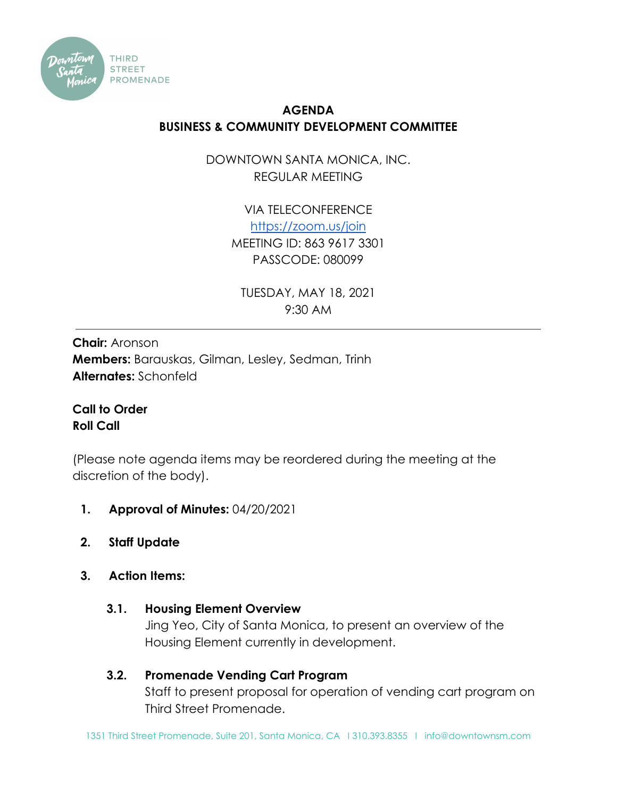

# **AGENDA BUSINESS & COMMUNITY DEVELOPMENT COMMITTEE**

DOWNTOWN SANTA MONICA, INC. REGULAR MEETING

> VIA TELECONFERENCE <https://zoom.us/join> MEETING ID: 863 9617 3301 PASSCODE: 080099

TUESDAY, MAY 18, 2021 9:30 AM

**Chair:** Aronson **Members:** Barauskas, Gilman, Lesley, Sedman, Trinh **Alternates:** Schonfeld

**Call to Order Roll Call**

(Please note agenda items may be reordered during the meeting at the discretion of the body).

- **1. Approval of Minutes:** 04/20/2021
- **2. Staff Update**
- **3. Action Items:**
	- **3.1. Housing Element Overview**

Jing Yeo, City of Santa Monica, to present an overview of the Housing Element currently in development.

# **3.2. Promenade Vending Cart Program**

Staff to present proposal for operation of vending cart program on Third Street Promenade.